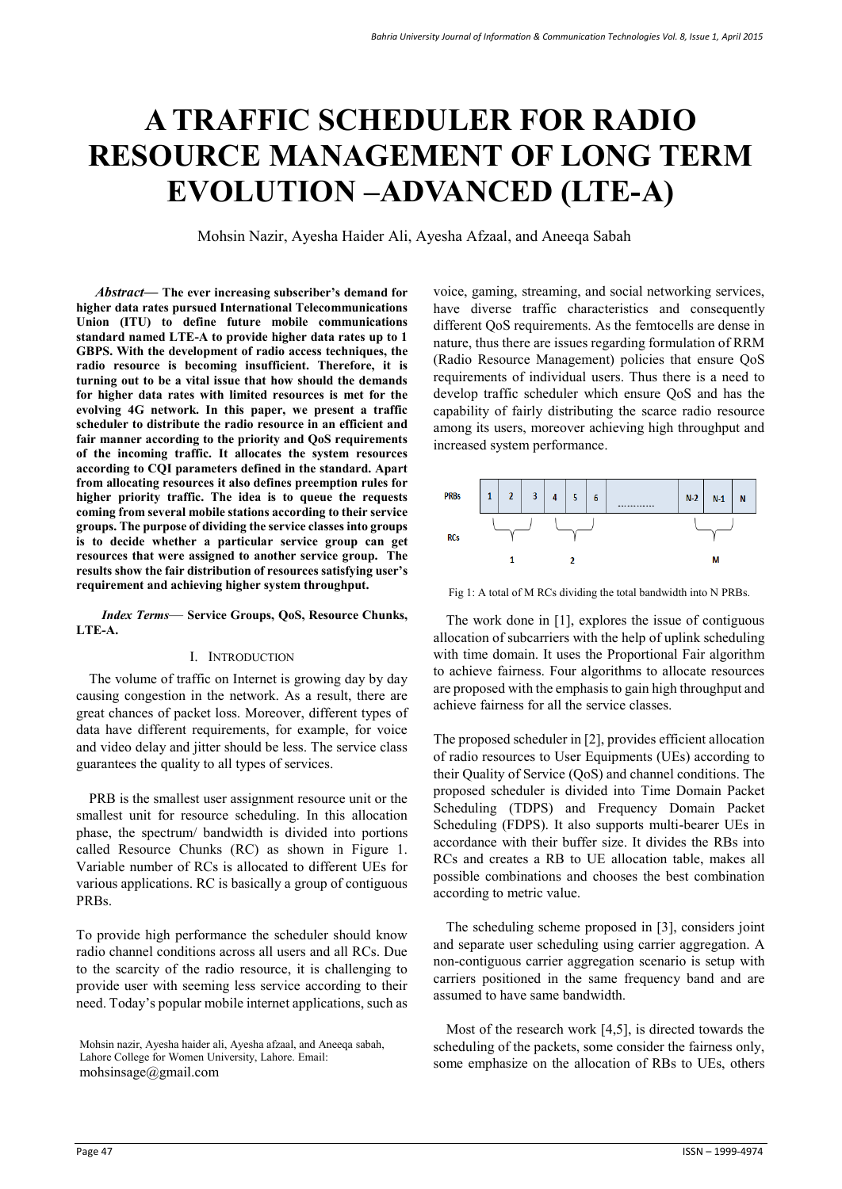# **A TRAFFIC SCHEDULER FOR RADIO RESOURCE MANAGEMENT OF LONG TERM EVOLUTION –ADVANCED (LTE-A)**

Mohsin Nazir, Ayesha Haider Ali, Ayesha Afzaal, and Aneeqa Sabah

*Abstract***— The ever increasing subscriber's demand for higher data rates pursued International Telecommunications Union (ITU) to define future mobile communications standard named LTE-A to provide higher data rates up to 1 GBPS. With the development of radio access techniques, the radio resource is becoming insufficient. Therefore, it is turning out to be a vital issue that how should the demands for higher data rates with limited resources is met for the evolving 4G network. In this paper, we present a traffic scheduler to distribute the radio resource in an efficient and fair manner according to the priority and QoS requirements of the incoming traffic. It allocates the system resources according to CQI parameters defined in the standard. Apart from allocating resources it also defines preemption rules for higher priority traffic. The idea is to queue the requests coming from several mobile stations according to their service groups. The purpose of dividing the service classes into groups is to decide whether a particular service group can get resources that were assigned to another service group. The results show the fair distribution of resources satisfying user's requirement and achieving higher system throughput.** 

*Index Terms*— **Service Groups, QoS, Resource Chunks, LTE-A.**

## I. INTRODUCTION

The volume of traffic on Internet is growing day by day causing congestion in the network. As a result, there are great chances of packet loss. Moreover, different types of data have different requirements, for example, for voice and video delay and jitter should be less. The service class guarantees the quality to all types of services.

PRB is the smallest user assignment resource unit or the smallest unit for resource scheduling. In this allocation phase, the spectrum/ bandwidth is divided into portions called Resource Chunks (RC) as shown in Figure 1. Variable number of RCs is allocated to different UEs for various applications. RC is basically a group of contiguous PRBs.

To provide high performance the scheduler should know radio channel conditions across all users and all RCs. Due to the scarcity of the radio resource, it is challenging to provide user with seeming less service according to their need. Today's popular mobile internet applications, such as

voice, gaming, streaming, and social networking services, have diverse traffic characteristics and consequently different QoS requirements. As the femtocells are dense in nature, thus there are issues regarding formulation of RRM (Radio Resource Management) policies that ensure QoS requirements of individual users. Thus there is a need to develop traffic scheduler which ensure QoS and has the capability of fairly distributing the scarce radio resource among its users, moreover achieving high throughput and increased system performance.



Fig 1: A total of M RCs dividing the total bandwidth into N PRBs.

The work done in [1], explores the issue of contiguous allocation of subcarriers with the help of uplink scheduling with time domain. It uses the Proportional Fair algorithm to achieve fairness. Four algorithms to allocate resources are proposed with the emphasis to gain high throughput and achieve fairness for all the service classes.

The proposed scheduler in [2], provides efficient allocation of radio resources to User Equipments (UEs) according to their Quality of Service (QoS) and channel conditions. The proposed scheduler is divided into Time Domain Packet Scheduling (TDPS) and Frequency Domain Packet Scheduling (FDPS). It also supports multi-bearer UEs in accordance with their buffer size. It divides the RBs into RCs and creates a RB to UE allocation table, makes all possible combinations and chooses the best combination according to metric value.

The scheduling scheme proposed in [3], considers joint and separate user scheduling using carrier aggregation. A non-contiguous carrier aggregation scenario is setup with carriers positioned in the same frequency band and are assumed to have same bandwidth.

Most of the research work [4,5], is directed towards the scheduling of the packets, some consider the fairness only, some emphasize on the allocation of RBs to UEs, others

Mohsin nazir, Ayesha haider ali, Ayesha afzaal, and Aneeqa sabah, Lahore College for Women University, Lahore. Email: mohsinsage@gmail.com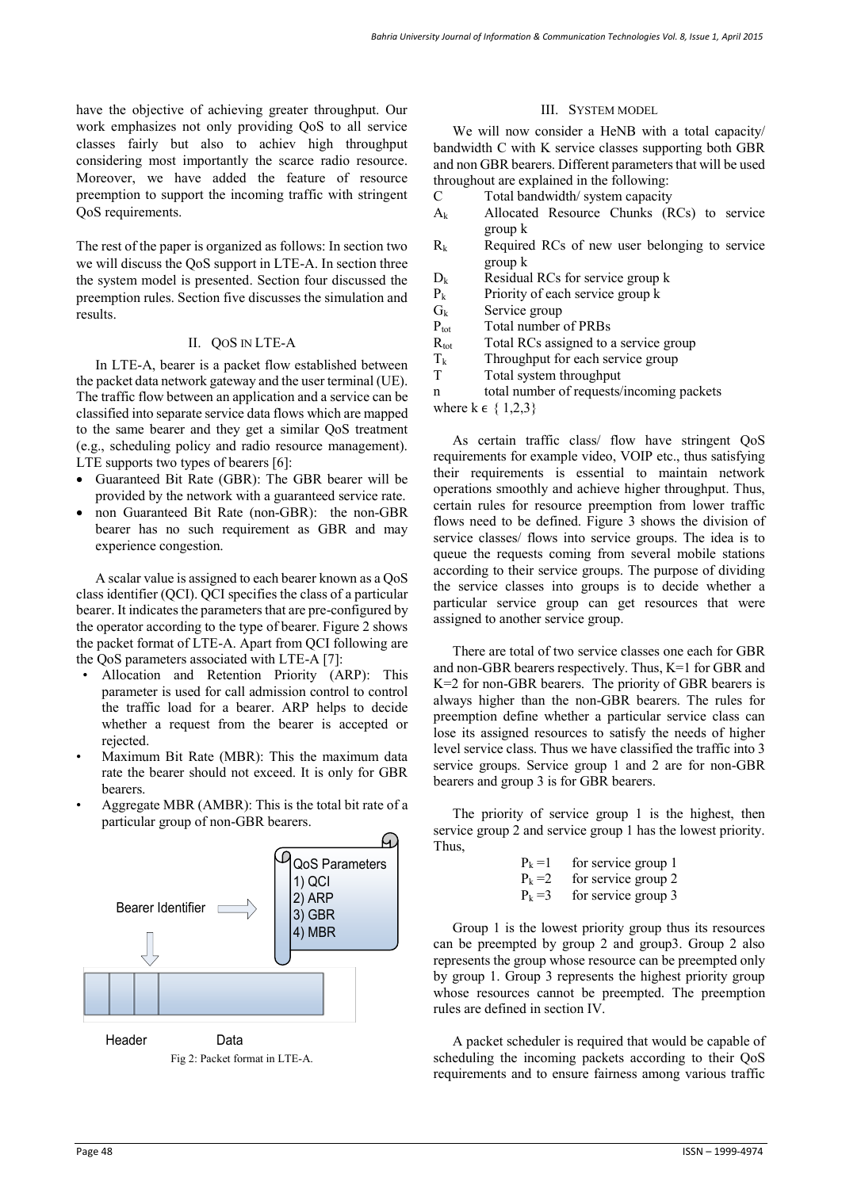have the objective of achieving greater throughput. Our work emphasizes not only providing QoS to all service classes fairly but also to achiev high throughput considering most importantly the scarce radio resource. Moreover, we have added the feature of resource preemption to support the incoming traffic with stringent QoS requirements.

The rest of the paper is organized as follows: In section two we will discuss the QoS support in LTE-A. In section three the system model is presented. Section four discussed the preemption rules. Section five discusses the simulation and results.

# II. QOS IN LTE-A

In LTE-A, bearer is a packet flow established between the packet data network gateway and the user terminal (UE). The traffic flow between an application and a service can be classified into separate service data flows which are mapped to the same bearer and they get a similar QoS treatment (e.g., scheduling policy and radio resource management). LTE supports two types of bearers [6]:

- Guaranteed Bit Rate (GBR): The GBR bearer will be provided by the network with a guaranteed service rate.
- non Guaranteed Bit Rate (non-GBR): the non-GBR bearer has no such requirement as GBR and may experience congestion.

A scalar value is assigned to each bearer known as a QoS class identifier (QCI). QCI specifies the class of a particular bearer. It indicates the parameters that are pre-configured by the operator according to the type of bearer. Figure 2 shows the packet format of LTE-A. Apart from QCI following are the QoS parameters associated with LTE-A [7]:

- Allocation and Retention Priority (ARP): This parameter is used for call admission control to control the traffic load for a bearer. ARP helps to decide whether a request from the bearer is accepted or rejected.
- Maximum Bit Rate (MBR): This the maximum data rate the bearer should not exceed. It is only for GBR bearers.
- Aggregate MBR (AMBR): This is the total bit rate of a particular group of non-GBR bearers.



## III. SYSTEM MODEL

We will now consider a HeNB with a total capacity/ bandwidth C with K service classes supporting both GBR and non GBR bearers. Different parameters that will be used throughout are explained in the following:

- C Total bandwidth/ system capacity
- Ak Allocated Resource Chunks (RCs) to service group k
- $R_k$  Required RCs of new user belonging to service group k
- $D_k$  Residual RCs for service group k
- $P_k$  Priority of each service group k
- $G_k$  Service group
- P<sub>tot</sub> Total number of PRBs
- $R_{\text{tot}}$  Total RCs assigned to a service group
- $T_k$  Throughput for each service group
- T Total system throughput

n total number of requests/incoming packets

where  $k \in \{1,2,3\}$ 

As certain traffic class/ flow have stringent QoS requirements for example video, VOIP etc., thus satisfying their requirements is essential to maintain network operations smoothly and achieve higher throughput. Thus, certain rules for resource preemption from lower traffic flows need to be defined. Figure 3 shows the division of service classes/ flows into service groups. The idea is to queue the requests coming from several mobile stations according to their service groups. The purpose of dividing the service classes into groups is to decide whether a particular service group can get resources that were assigned to another service group.

There are total of two service classes one each for GBR and non-GBR bearers respectively. Thus, K=1 for GBR and K=2 for non-GBR bearers. The priority of GBR bearers is always higher than the non-GBR bearers. The rules for preemption define whether a particular service class can lose its assigned resources to satisfy the needs of higher level service class. Thus we have classified the traffic into 3 service groups. Service group 1 and 2 are for non-GBR bearers and group 3 is for GBR bearers.

The priority of service group 1 is the highest, then service group 2 and service group 1 has the lowest priority. Thus,

| $P_k = l$ | for service group 1 |
|-----------|---------------------|
| $P_k = 2$ | for service group 2 |
| $P_k = 3$ | for service group 3 |

Group 1 is the lowest priority group thus its resources can be preempted by group 2 and group3. Group 2 also represents the group whose resource can be preempted only by group 1. Group 3 represents the highest priority group whose resources cannot be preempted. The preemption rules are defined in section IV.

A packet scheduler is required that would be capable of scheduling the incoming packets according to their QoS requirements and to ensure fairness among various traffic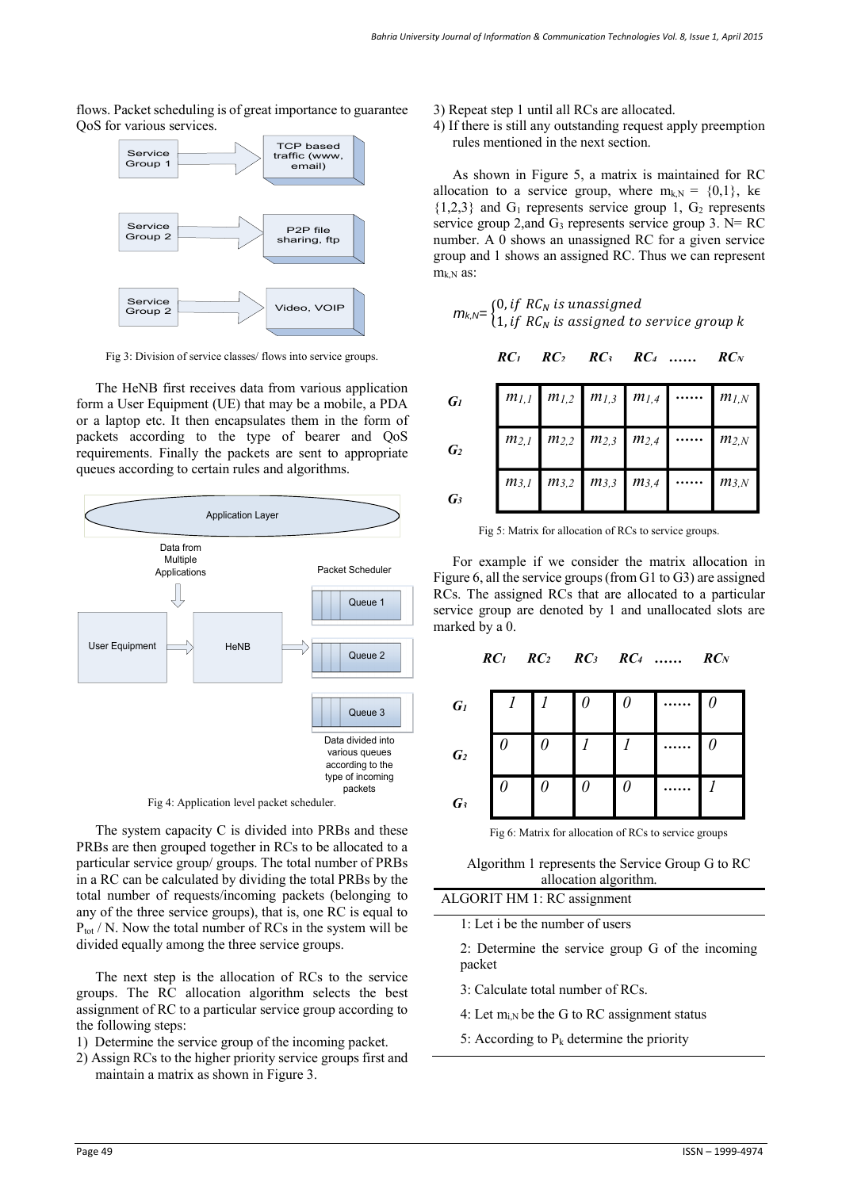flows. Packet scheduling is of great importance to guarantee QoS for various services.



Fig 3: Division of service classes/ flows into service groups.

The HeNB first receives data from various application form a User Equipment (UE) that may be a mobile, a PDA or a laptop etc. It then encapsulates them in the form of packets according to the type of bearer and QoS requirements. Finally the packets are sent to appropriate queues according to certain rules and algorithms.



Fig 4: Application level packet scheduler.

The system capacity C is divided into PRBs and these PRBs are then grouped together in RCs to be allocated to a particular service group/ groups. The total number of PRBs in a RC can be calculated by dividing the total PRBs by the total number of requests/incoming packets (belonging to any of the three service groups), that is, one RC is equal to  $P_{tot}$  / N. Now the total number of RCs in the system will be divided equally among the three service groups.

The next step is the allocation of RCs to the service groups. The RC allocation algorithm selects the best assignment of RC to a particular service group according to the following steps:

- 1) Determine the service group of the incoming packet.
- 2) Assign RCs to the higher priority service groups first and maintain a matrix as shown in Figure 3.
- 3) Repeat step 1 until all RCs are allocated.
- 4) If there is still any outstanding request apply preemption rules mentioned in the next section.

As shown in Figure 5, a matrix is maintained for RC allocation to a service group, where  $m_{k,N} = \{0,1\}$ , ke  ${1,2,3}$  and  $G_1$  represents service group 1,  $G_2$  represents service group 2, and  $G_3$  represents service group 3. N= RC number. A 0 shows an unassigned RC for a given service group and 1 shows an assigned RC. Thus we can represent  $m_{k,N}$  as:

$$
m_{k,N} = \begin{cases} 0, if RC_N is unassigned \\ 1, if RC_N is assigned to service group k \end{cases}
$$

$$
RC1 \t RC2 \t RC3 \t RC4 \t...... \t RCN
$$

| $G_I$           |                                               |  | $m_{1,1}$ $m_{1,2}$ $m_{1,3}$ $m_{1,4}$ $m_{1,N}$ |
|-----------------|-----------------------------------------------|--|---------------------------------------------------|
| $\mathbf{G}_2$  |                                               |  | $m_{2,1}$ $m_{2,2}$ $m_{2,3}$ $m_{2,4}$ $m_{2,N}$ |
| $\mathcal{G}_3$ | $m_{3,1}$   $m_{3,2}$   $m_{3,3}$   $m_{3,4}$ |  | $m_{3,N}$                                         |

Fig 5: Matrix for allocation of RCs to service groups.

For example if we consider the matrix allocation in Figure 6, all the service groups (from G1 to G3) are assigned RCs. The assigned RCs that are allocated to a particular service group are denoted by 1 and unallocated slots are marked by a 0.

|                |       | $RC_1$ $RC_2$ $RC_3$ $RC_4$ |            |          |  | $RC_N$ |
|----------------|-------|-----------------------------|------------|----------|--|--------|
| $G_I$          | $1$ . |                             | I $\theta$ | $\theta$ |  |        |
| $\mathbf{G}_2$ |       |                             |            |          |  |        |
| G3             |       |                             |            |          |  |        |

Fig 6: Matrix for allocation of RCs to service groups

Algorithm 1 represents the Service Group G to RC allocation algorithm.

ALGORIT HM 1: RC assignment

1: Let i be the number of users

2: Determine the service group G of the incoming packet

- 3: Calculate total number of RCs.
- 4: Let  $m_{i,N}$  be the G to RC assignment status
- 5: According to  $P_k$  determine the priority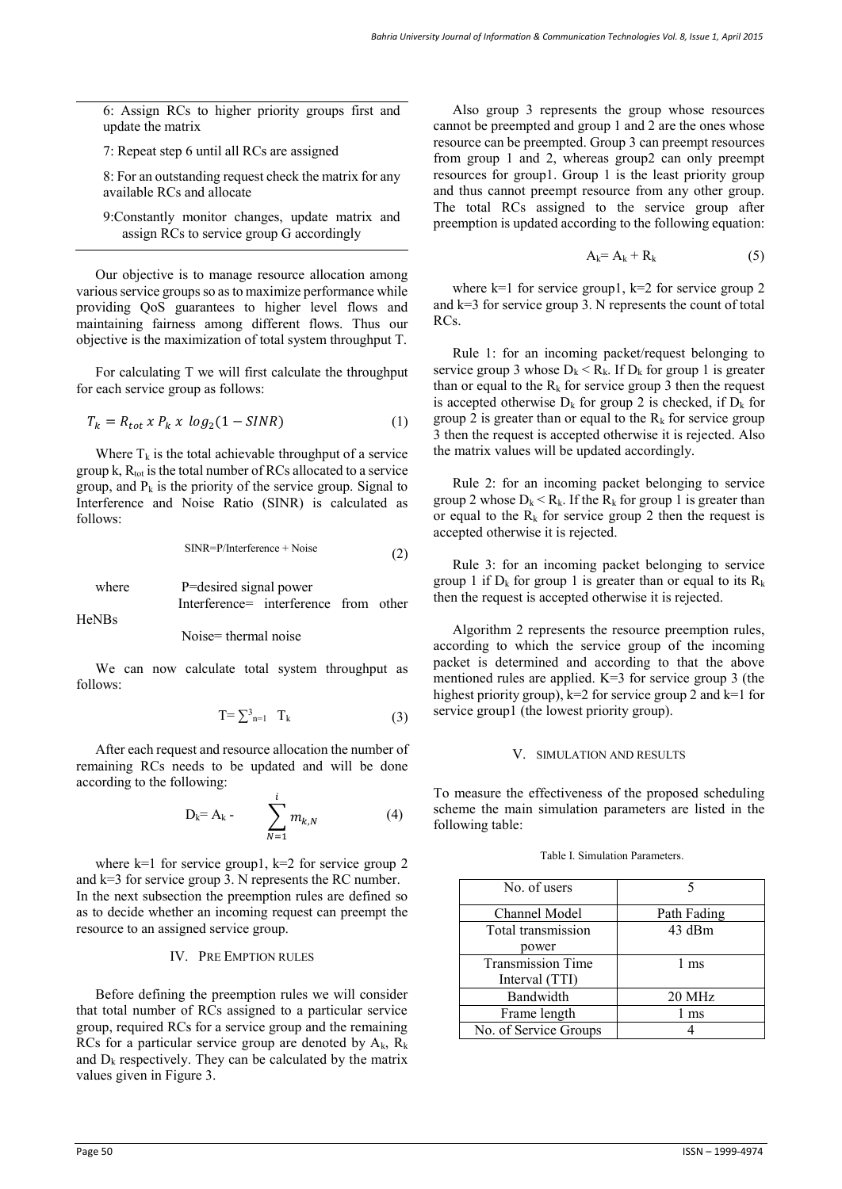6: Assign RCs to higher priority groups first and update the matrix

7: Repeat step 6 until all RCs are assigned

8: For an outstanding request check the matrix for any available RCs and allocate

9:Constantly monitor changes, update matrix and assign RCs to service group G accordingly

Our objective is to manage resource allocation among various service groups so as to maximize performance while providing QoS guarantees to higher level flows and maintaining fairness among different flows. Thus our objective is the maximization of total system throughput T.

For calculating T we will first calculate the throughput for each service group as follows:

$$
T_k = R_{tot} \times P_k \times \log_2(1 - SINR) \tag{1}
$$

Where  $T_k$  is the total achievable throughput of a service group  $k$ ,  $R_{tot}$  is the total number of RCs allocated to a service group, and  $P_k$  is the priority of the service group. Signal to Interference and Noise Ratio (SINR) is calculated as follows:

$$
SINR = P/Interference + Noise
$$
 (2)

where P=desired signal power Interference= interference from other

HeNBs

Noise= thermal noise

We can now calculate total system throughput as follows:

$$
T = \sum_{n=1}^{3} T_k \tag{3}
$$

After each request and resource allocation the number of remaining RCs needs to be updated and will be done according to the following:

$$
D_k = A_k - \sum_{N=1}^i m_{k,N}
$$
 (4)

where  $k=1$  for service group1,  $k=2$  for service group 2 and k=3 for service group 3. N represents the RC number. In the next subsection the preemption rules are defined so as to decide whether an incoming request can preempt the resource to an assigned service group.

### IV. PRE EMPTION RULES

Before defining the preemption rules we will consider that total number of RCs assigned to a particular service group, required RCs for a service group and the remaining RCs for a particular service group are denoted by  $A_k$ ,  $R_k$ and  $D_k$  respectively. They can be calculated by the matrix values given in Figure 3.

Also group 3 represents the group whose resources cannot be preempted and group 1 and 2 are the ones whose resource can be preempted. Group 3 can preempt resources from group 1 and 2, whereas group2 can only preempt resources for group1. Group 1 is the least priority group and thus cannot preempt resource from any other group. The total RCs assigned to the service group after preemption is updated according to the following equation:

$$
A_k = A_k + R_k \tag{5}
$$

where  $k=1$  for service group1,  $k=2$  for service group 2 and k=3 for service group 3. N represents the count of total RCs.

Rule 1: for an incoming packet/request belonging to service group 3 whose  $D_k < R_k$ . If  $D_k$  for group 1 is greater than or equal to the  $R_k$  for service group 3 then the request is accepted otherwise  $D_k$  for group 2 is checked, if  $D_k$  for group 2 is greater than or equal to the  $R_k$  for service group 3 then the request is accepted otherwise it is rejected. Also the matrix values will be updated accordingly.

Rule 2: for an incoming packet belonging to service group 2 whose  $D_k < R_k$ . If the  $R_k$  for group 1 is greater than or equal to the  $R_k$  for service group 2 then the request is accepted otherwise it is rejected.

Rule 3: for an incoming packet belonging to service group 1 if  $D_k$  for group 1 is greater than or equal to its  $R_k$ then the request is accepted otherwise it is rejected.

Algorithm 2 represents the resource preemption rules, according to which the service group of the incoming packet is determined and according to that the above mentioned rules are applied. K=3 for service group 3 (the highest priority group), k=2 for service group 2 and k=1 for service group1 (the lowest priority group).

#### V. SIMULATION AND RESULTS

To measure the effectiveness of the proposed scheduling scheme the main simulation parameters are listed in the following table:

| Path Fading |
|-------------|
| 43 dBm      |
|             |
| 1 ms        |
|             |
| 20 MHz      |
| 1 ms        |
|             |
|             |

Table I. Simulation Parameters.